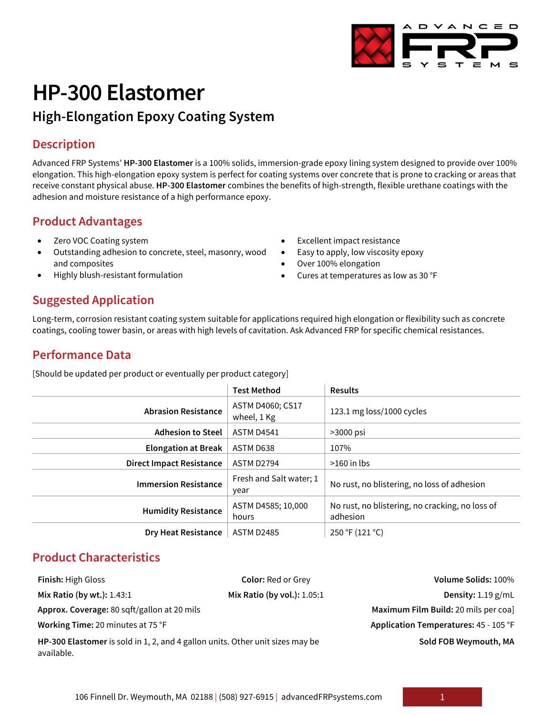

# **HP-300 Elastomer**

# **High-Elongation Epoxy Coating System**

#### **Description**

Advanced FRP Systems' **HP-300 Elastomer** is a 100% solids, immersion-grade epoxy lining system designed to provide over 100% elongation. This high-elongation epoxy system is perfect for coating systems over concrete that is prone to cracking or areas that receive constant physical abuse. **HP-300 Elastomer** combines the benefits of high-strength, flexible urethane coatings with the adhesion and moisture resistance of a high performance epoxy.

#### **Product Advantages**

- Zero VOC Coating system
- Outstanding adhesion to concrete, steel, masonry, wood and composites
- Highly blush-resistant formulation
- Excellent impact resistance • Easy to apply, low viscosity epoxy
- Over 100% elongation
- Cures at temperatures as low as 30 °F

# **Suggested Application**

Long-term, corrosion resistant coating system suitable for applications required high elongation or flexibility such as concrete coatings, cooling tower basin, or areas with high levels of cavitation. Ask Advanced FRP for specific chemical resistances.

# **Performance Data**

[Should be updated per product or eventually per product category]

|                                 | <b>Test Method</b>              | <b>Results</b>                                              |  |
|---------------------------------|---------------------------------|-------------------------------------------------------------|--|
| <b>Abrasion Resistance</b>      | ASTM D4060; CS17<br>wheel, 1 Kg | 123.1 mg loss/1000 cycles                                   |  |
| <b>Adhesion to Steel</b>        | <b>ASTM D4541</b>               | $>3000$ psi                                                 |  |
| <b>Elongation at Break</b>      | ASTM D638                       | 107%                                                        |  |
| <b>Direct Impact Resistance</b> | <b>ASTM D2794</b>               | $>160$ in lbs                                               |  |
| <b>Immersion Resistance</b>     | Fresh and Salt water; 1<br>year | No rust, no blistering, no loss of adhesion                 |  |
| <b>Humidity Resistance</b>      | ASTM D4585; 10,000<br>hours     | No rust, no blistering, no cracking, no loss of<br>adhesion |  |
| <b>Dry Heat Resistance</b>      | <b>ASTM D2485</b>               | 250 °F (121 °C)                                             |  |

# **Product Characteristics**

| <b>Finish: High Gloss</b>                                                                   | <b>Color: Red or Grey</b>     | Volume Solids: 100%                   |
|---------------------------------------------------------------------------------------------|-------------------------------|---------------------------------------|
| Mix Ratio (by $wt.$ ): 1.43:1                                                               | Mix Ratio (by vol.): $1.05:1$ | Density: $1.19$ g/mL                  |
| Approx. Coverage: 80 sqft/gallon at 20 mils                                                 |                               | Maximum Film Build: 20 mils per coa]  |
| Working Time: 20 minutes at 75 °F                                                           |                               | Application Temperatures: 45 - 105 °F |
| HP-300 Elastomer is sold in 1, 2, and 4 gallon units. Other unit sizes may be<br>available. |                               | Sold FOB Weymouth, MA                 |

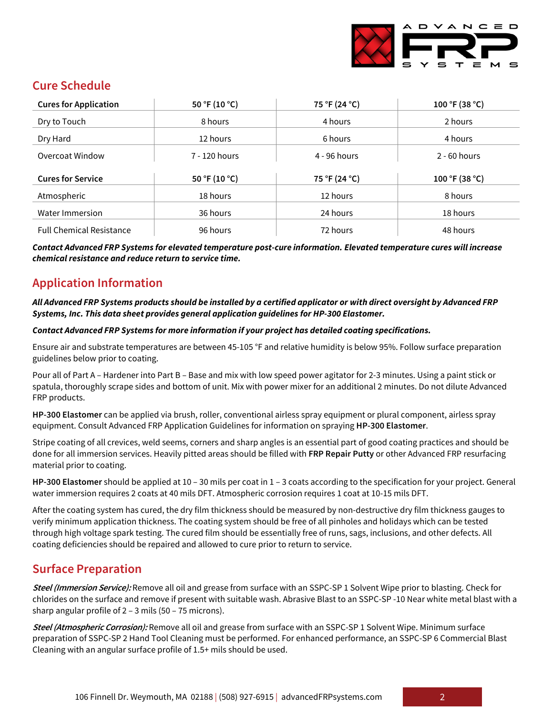

# **Cure Schedule**

| <b>Cures for Application</b>    | 50 °F (10 °C) | 75 °F (24 °C)  | 100 °F (38 °C) |
|---------------------------------|---------------|----------------|----------------|
| Dry to Touch                    | 8 hours       | 4 hours        | 2 hours        |
| Dry Hard                        | 12 hours      | 6 hours        | 4 hours        |
| Overcoat Window                 | 7 - 120 hours | $4 - 96$ hours | $2 - 60$ hours |
| <b>Cures for Service</b>        | 50 °F (10 °C) | 75 °F (24 °C)  | 100 °F (38 °C) |
|                                 |               |                |                |
| Atmospheric                     | 18 hours      | 12 hours       | 8 hours        |
| Water Immersion                 | 36 hours      | 24 hours       | 18 hours       |
| <b>Full Chemical Resistance</b> | 96 hours      | 72 hours       | 48 hours       |

*Contact Advanced FRP Systems for elevated temperature post-cure information. Elevated temperature cures will increase chemical resistance and reduce return to service time.*

# **Application Information**

#### *All Advanced FRP Systems products should be installed by a certified applicator or with direct oversight by Advanced FRP Systems, Inc. This data sheet provides general application guidelines for HP-300 Elastomer.*

#### *Contact Advanced FRP Systems for more information if your project has detailed coating specifications.*

Ensure air and substrate temperatures are between 45-105 °F and relative humidity is below 95%. Follow surface preparation guidelines below prior to coating.

Pour all of Part A – Hardener into Part B – Base and mix with low speed power agitator for 2-3 minutes. Using a paint stick or spatula, thoroughly scrape sides and bottom of unit. Mix with power mixer for an additional 2 minutes. Do not dilute Advanced FRP products.

**HP-300 Elastomer** can be applied via brush, roller, conventional airless spray equipment or plural component, airless spray equipment. Consult Advanced FRP Application Guidelines for information on spraying **HP-300 Elastomer**.

Stripe coating of all crevices, weld seems, corners and sharp angles is an essential part of good coating practices and should be done for all immersion services. Heavily pitted areas should be filled with **FRP Repair Putty** or other Advanced FRP resurfacing material prior to coating.

**HP-300 Elastomer** should be applied at 10 – 30 mils per coat in 1 – 3 coats according to the specification for your project. General water immersion requires 2 coats at 40 mils DFT. Atmospheric corrosion requires 1 coat at 10-15 mils DFT.

After the coating system has cured, the dry film thickness should be measured by non-destructive dry film thickness gauges to verify minimum application thickness. The coating system should be free of all pinholes and holidays which can be tested through high voltage spark testing. The cured film should be essentially free of runs, sags, inclusions, and other defects. All coating deficiencies should be repaired and allowed to cure prior to return to service.

#### **Surface Preparation**

**Steel (Immersion Service):** Remove all oil and grease from surface with an SSPC-SP 1 Solvent Wipe prior to blasting. Check for chlorides on the surface and remove if present with suitable wash. Abrasive Blast to an SSPC-SP -10 Near white metal blast with a sharp angular profile of 2 – 3 mils (50 – 75 microns).

**Steel (Atmospheric Corrosion):** Remove all oil and grease from surface with an SSPC-SP 1 Solvent Wipe. Minimum surface preparation of SSPC-SP 2 Hand Tool Cleaning must be performed. For enhanced performance, an SSPC-SP 6 Commercial Blast Cleaning with an angular surface profile of 1.5+ mils should be used.